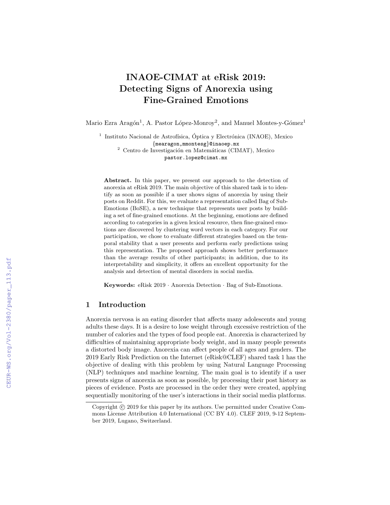# INAOE-CIMAT at eRisk 2019: Detecting Signs of Anorexia using Fine-Grained Emotions

Mario Ezra Aragón<sup>1</sup>, A. Pastor López-Monroy<sup>2</sup>, and Manuel Montes-y-Gómez<sup>1</sup>

<sup>1</sup> Instituto Nacional de Astrofísica, Óptica y Electrónica (INAOE), Mexico {mearagon,mmontesg}@inaoep.mx  $2$  Centro de Investigación en Matemáticas (CIMAT), Mexico

pastor.lopez@cimat.mx

Abstract. In this paper, we present our approach to the detection of anorexia at eRisk 2019. The main objective of this shared task is to identify as soon as possible if a user shows signs of anorexia by using their posts on Reddit. For this, we evaluate a representation called Bag of Sub-Emotions (BoSE), a new technique that represents user posts by building a set of fine-grained emotions. At the beginning, emotions are defined according to categories in a given lexical resource, then fine-grained emotions are discovered by clustering word vectors in each category. For our participation, we chose to evaluate different strategies based on the temporal stability that a user presents and perform early predictions using this representation. The proposed approach shows better performance than the average results of other participants; in addition, due to its interpretability and simplicity, it offers an excellent opportunity for the analysis and detection of mental disorders in social media.

Keywords: eRisk 2019 · Anorexia Detection · Bag of Sub-Emotions.

## 1 Introduction

Anorexia nervosa is an eating disorder that affects many adolescents and young adults these days. It is a desire to lose weight through excessive restriction of the number of calories and the types of food people eat. Anorexia is characterized by difficulties of maintaining appropriate body weight, and in many people presents a distorted body image. Anorexia can affect people of all ages and genders. The 2019 Early Risk Prediction on the Internet (eRisk@CLEF) shared task 1 has the objective of dealing with this problem by using Natural Language Processing (NLP) techniques and machine learning. The main goal is to identify if a user presents signs of anorexia as soon as possible, by processing their post history as pieces of evidence. Posts are processed in the order they were created, applying sequentially monitoring of the user's interactions in their social media platforms.

Copyright  $\odot$  2019 for this paper by its authors. Use permitted under Creative Commons License Attribution 4.0 International (CC BY 4.0). CLEF 2019, 9-12 September 2019, Lugano, Switzerland.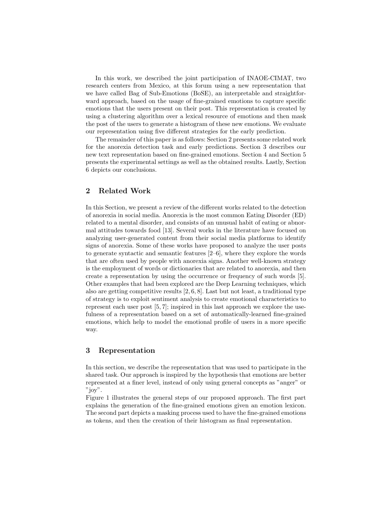In this work, we described the joint participation of INAOE-CIMAT, two research centers from Mexico, at this forum using a new representation that we have called Bag of Sub-Emotions (BoSE), an interpretable and straightforward approach, based on the usage of fine-grained emotions to capture specific emotions that the users present on their post. This representation is created by using a clustering algorithm over a lexical resource of emotions and then mask the post of the users to generate a histogram of these new emotions. We evaluate our representation using five different strategies for the early prediction.

The remainder of this paper is as follows: Section 2 presents some related work for the anorexia detection task and early predictions. Section 3 describes our new text representation based on fine-grained emotions. Section 4 and Section 5 presents the experimental settings as well as the obtained results. Lastly, Section 6 depicts our conclusions.

## 2 Related Work

In this Section, we present a review of the different works related to the detection of anorexia in social media. Anorexia is the most common Eating Disorder (ED) related to a mental disorder, and consists of an unusual habit of eating or abnormal attitudes towards food [13]. Several works in the literature have focused on analyzing user-generated content from their social media platforms to identify signs of anorexia. Some of these works have proposed to analyze the user posts to generate syntactic and semantic features [2–6], where they explore the words that are often used by people with anorexia signs. Another well-known strategy is the employment of words or dictionaries that are related to anorexia, and then create a representation by using the occurrence or frequency of such words [5]. Other examples that had been explored are the Deep Learning techniques, which also are getting competitive results [2, 6, 8]. Last but not least, a traditional type of strategy is to exploit sentiment analysis to create emotional characteristics to represent each user post [5, 7]; inspired in this last approach we explore the usefulness of a representation based on a set of automatically-learned fine-grained emotions, which help to model the emotional profile of users in a more specific way.

## 3 Representation

In this section, we describe the representation that was used to participate in the shared task. Our approach is inspired by the hypothesis that emotions are better represented at a finer level, instead of only using general concepts as "anger" or  $"iov"$ .

Figure 1 illustrates the general steps of our proposed approach. The first part explains the generation of the fine-grained emotions given an emotion lexicon. The second part depicts a masking process used to have the fine-grained emotions as tokens, and then the creation of their histogram as final representation.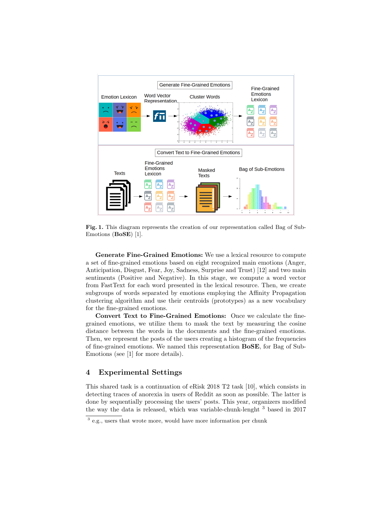

Fig. 1. This diagram represents the creation of our representation called Bag of Sub-Emotions (BoSE) [1].

Generate Fine-Grained Emotions: We use a lexical resource to compute a set of fine-grained emotions based on eight recognized main emotions (Anger, Anticipation, Disgust, Fear, Joy, Sadness, Surprise and Trust) [12] and two main sentiments (Positive and Negative). In this stage, we compute a word vector from FastText for each word presented in the lexical resource. Then, we create subgroups of words separated by emotions employing the Affinity Propagation clustering algorithm and use their centroids (prototypes) as a new vocabulary for the fine-grained emotions.

Convert Text to Fine-Grained Emotions: Once we calculate the finegrained emotions, we utilize them to mask the text by measuring the cosine distance between the words in the documents and the fine-grained emotions. Then, we represent the posts of the users creating a histogram of the frequencies of fine-grained emotions. We named this representation BoSE, for Bag of Sub-Emotions (see [1] for more details).

## 4 Experimental Settings

This shared task is a continuation of eRisk 2018 T2 task [10], which consists in detecting traces of anorexia in users of Reddit as soon as possible. The latter is done by sequentially processing the users' posts. This year, organizers modified the way the data is released, which was variable-chunk-lenght <sup>3</sup> based in 2017

<sup>&</sup>lt;sup>3</sup> e.g., users that wrote more, would have more information per chunk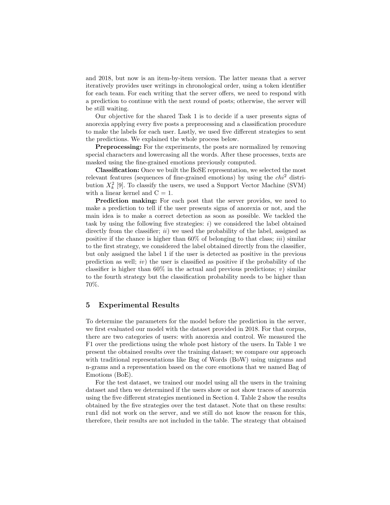and 2018, but now is an item-by-item version. The latter means that a server iteratively provides user writings in chronological order, using a token identifier for each team. For each writing that the server offers, we need to respond with a prediction to continue with the next round of posts; otherwise, the server will be still waiting.

Our objective for the shared Task 1 is to decide if a user presents signs of anorexia applying every five posts a preprocessing and a classification procedure to make the labels for each user. Lastly, we used five different strategies to sent the predictions. We explained the whole process below.

Preprocessing: For the experiments, the posts are normalized by removing special characters and lowercasing all the words. After these processes, texts are masked using the fine-grained emotions previously computed.

Classification: Once we built the BoSE representation, we selected the most relevant features (sequences of fine-grained emotions) by using the  $chi^2$  distribution  $X_k^2$  [9]. To classify the users, we used a Support Vector Machine (SVM) with a linear kernel and  $C = 1$ .

Prediction making: For each post that the server provides, we need to make a prediction to tell if the user presents signs of anorexia or not, and the main idea is to make a correct detection as soon as possible. We tackled the task by using the following five strategies:  $i)$  we considered the label obtained directly from the classifier;  $ii)$  we used the probability of the label, assigned as positive if the chance is higher than  $60\%$  of belonging to that class; *iii*) similar to the first strategy, we considered the label obtained directly from the classifier, but only assigned the label 1 if the user is detected as positive in the previous prediction as well;  $iv$ ) the user is classified as positive if the probability of the classifier is higher than  $60\%$  in the actual and previous predictions; v) similar to the fourth strategy but the classification probability needs to be higher than 70%.

#### 5 Experimental Results

To determine the parameters for the model before the prediction in the server, we first evaluated our model with the dataset provided in 2018. For that corpus, there are two categories of users: with anorexia and control. We measured the F1 over the predictions using the whole post history of the users. In Table 1 we present the obtained results over the training dataset; we compare our approach with traditional representations like Bag of Words (BoW) using unigrams and n-grams and a representation based on the core emotions that we named Bag of Emotions (BoE).

For the test dataset, we trained our model using all the users in the training dataset and then we determined if the users show or not show traces of anorexia using the five different strategies mentioned in Section 4. Table 2 show the results obtained by the five strategies over the test dataset. Note that on these results: run1 did not work on the server, and we still do not know the reason for this, therefore, their results are not included in the table. The strategy that obtained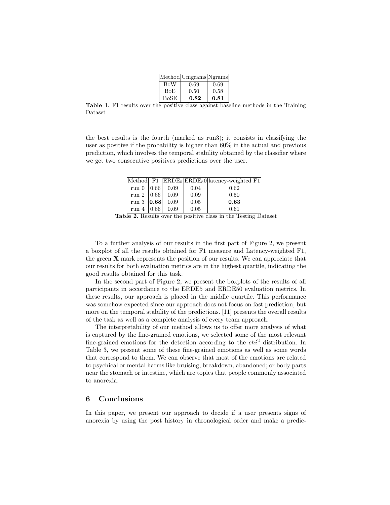|               | Method Unigrams Ngrams |      |
|---------------|------------------------|------|
| <b>BoW</b>    | 0.69                   | 0.69 |
| BoE           | 0.50                   | 0.58 |
| $_{\rm BoSE}$ | 0.82                   | 0.81 |

Table 1. F1 results over the positive class against baseline methods in the Training Dataset

the best results is the fourth (marked as run3); it consists in classifying the user as positive if the probability is higher than 60% in the actual and previous prediction, which involves the temporal stability obtained by the classifier where we get two consecutive positives predictions over the user.

|                |      |      | Method F1 $ ERDE_5 ERDE_50 $ latency-weighted F1 |
|----------------|------|------|--------------------------------------------------|
| run 0 $ 0.66 $ | 0.09 | 0.04 | 0.62                                             |
| run 2   $0.66$ | 0.09 | 0.09 | 0.50                                             |
| run 3 $ 0.68 $ | 0.09 | 0.05 | 0.63                                             |
| run 4   $0.66$ | 0.09 | 0.05 | 0.61                                             |

Table 2. Results over the positive class in the Testing Dataset

To a further analysis of our results in the first part of Figure 2, we present a boxplot of all the results obtained for F1 measure and Latency-weighted F1, the green X mark represents the position of our results. We can appreciate that our results for both evaluation metrics are in the highest quartile, indicating the good results obtained for this task.

In the second part of Figure 2, we present the boxplots of the results of all participants in accordance to the ERDE5 and ERDE50 evaluation metrics. In these results, our approach is placed in the middle quartile. This performance was somehow expected since our approach does not focus on fast prediction, but more on the temporal stability of the predictions. [11] presents the overall results of the task as well as a complete analysis of every team approach.

The interpretability of our method allows us to offer more analysis of what is captured by the fine-grained emotions, we selected some of the most relevant fine-grained emotions for the detection according to the  $chi^2$  distribution. In Table 3, we present some of these fine-grained emotions as well as some words that correspond to them. We can observe that most of the emotions are related to psychical or mental harms like bruising, breakdown, abandoned; or body parts near the stomach or intestine, which are topics that people commonly associated to anorexia.

#### 6 Conclusions

In this paper, we present our approach to decide if a user presents signs of anorexia by using the post history in chronological order and make a predic-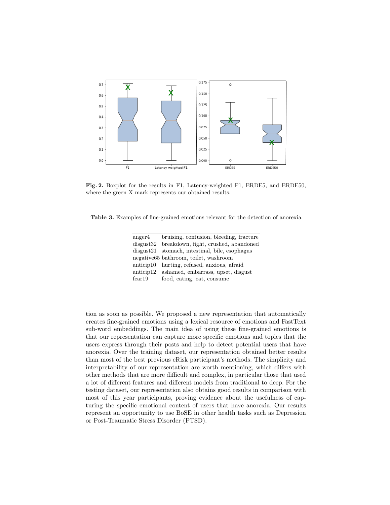

Fig. 2. Boxplot for the results in F1, Latency-weighted F1, ERDE5, and ERDE50, where the green X mark represents our obtained results.

Table 3. Examples of fine-grained emotions relevant for the detection of anorexia

| $\text{anger4}$ | bruising, contusion, bleeding, fracture          |
|-----------------|--------------------------------------------------|
| disgust32       | breakdown, fight, crushed, abandoned             |
|                 | $disgust21$ stomach, intestinal, bile, esophagus |
|                 | negative 65 bathroom, toilet, washroom           |
|                 | anticip10   hurting, refused, anxious, afraid    |
| anticip12       | ashamed, embarrass, upset, disgust               |
| fear19          | food, eating, eat, consume                       |

tion as soon as possible. We proposed a new representation that automatically creates fine-grained emotions using a lexical resource of emotions and FastText sub-word embeddings. The main idea of using these fine-grained emotions is that our representation can capture more specific emotions and topics that the users express through their posts and help to detect potential users that have anorexia. Over the training dataset, our representation obtained better results than most of the best previous eRisk participant's methods. The simplicity and interpretability of our representation are worth mentioning, which differs with other methods that are more difficult and complex, in particular those that used a lot of different features and different models from traditional to deep. For the testing dataset, our representation also obtains good results in comparison with most of this year participants, proving evidence about the usefulness of capturing the specific emotional content of users that have anorexia. Our results represent an opportunity to use BoSE in other health tasks such as Depression or Post-Traumatic Stress Disorder (PTSD).